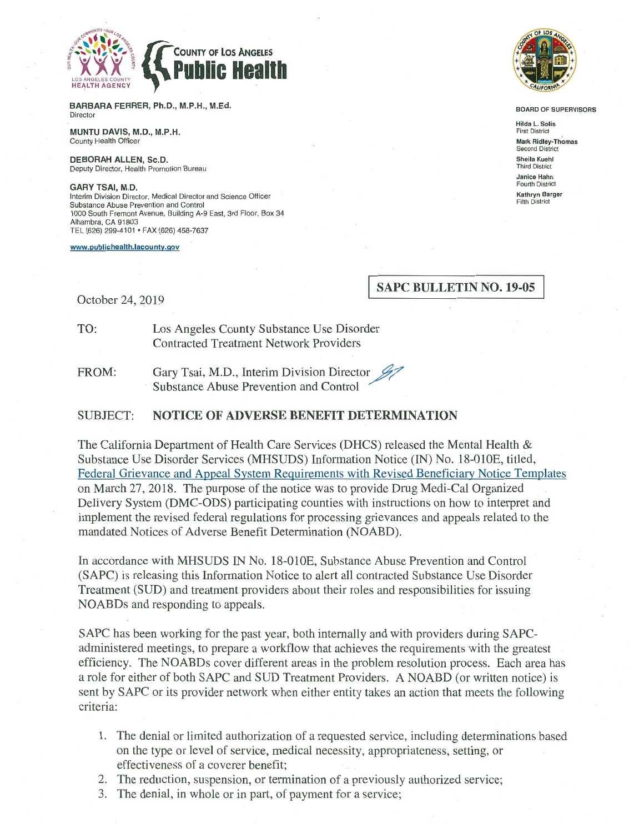

BARBARA FERRER, Ph.D., M.P.H., M.Ed. Director

MUNTU DAVIS, M.D., M.P.H. County Health Officer

DEBORAH ALLEN, Sc.D. Deputy Director, Health Promotion Bureau

**GARY TSAI, M.D.** Interim Division Director, Medical Director and Science Officer Substance Abuse Prevention and Control 1000 South Fremont Avenue, Building A-9 East, 3rd Floor, Box 34 Alhambra, CA 91803 TEL (626) 299-4101 · FAX (626) 458-7637

www.publichealth.lacounty.gov



**BOARD OF SUPERVISORS** 

**Hilda L. Solis First District Mark Ridley-Thomas** Second District Sheila Kuehl **Third District** Janice Hahn **Fourth District Kathryn Barger Fifth District** 

### **SAPC BULLETIN NO. 19-05**

October 24, 2019

TO: Los Angeles County Substance Use Disorder **Contracted Treatment Network Providers** 

Gary Tsai, M.D., Interim Division Director FROM: Substance Abuse Prevention and Control

#### **SUBJECT: NOTICE OF ADVERSE BENEFIT DETERMINATION**

The California Department of Health Care Services (DHCS) released the Mental Health & Substance Use Disorder Services (MHSUDS) Information Notice (IN) No. 18-010E, titled, Federal Grievance and Appeal System Requirements with Revised Beneficiary Notice Templates on March 27, 2018. The purpose of the notice was to provide Drug Medi-Cal Organized Delivery System (DMC-ODS) participating counties with instructions on how to interpret and implement the revised federal regulations for processing grievances and appeals related to the mandated Notices of Adverse Benefit Determination (NOABD).

In accordance with MHSUDS IN No. 18-010E, Substance Abuse Prevention and Control (SAPC) is releasing this Information Notice to alert all contracted Substance Use Disorder Treatment (SUD) and treatment providers about their roles and responsibilities for issuing NOABDs and responding to appeals.

SAPC has been working for the past year, both internally and with providers during SAPCadministered meetings, to prepare a workflow that achieves the requirements with the greatest efficiency. The NOABDs cover different areas in the problem resolution process. Each area has a role for either of both SAPC and SUD Treatment Providers. A NOABD (or written notice) is sent by SAPC or its provider network when either entity takes an action that meets the following criteria:

- 1. The denial or limited authorization of a requested service, including determinations based on the type or level of service, medical necessity, appropriateness, setting, or effectiveness of a coverer benefit;
- 2. The reduction, suspension, or termination of a previously authorized service;
- 3. The denial, in whole or in part, of payment for a service;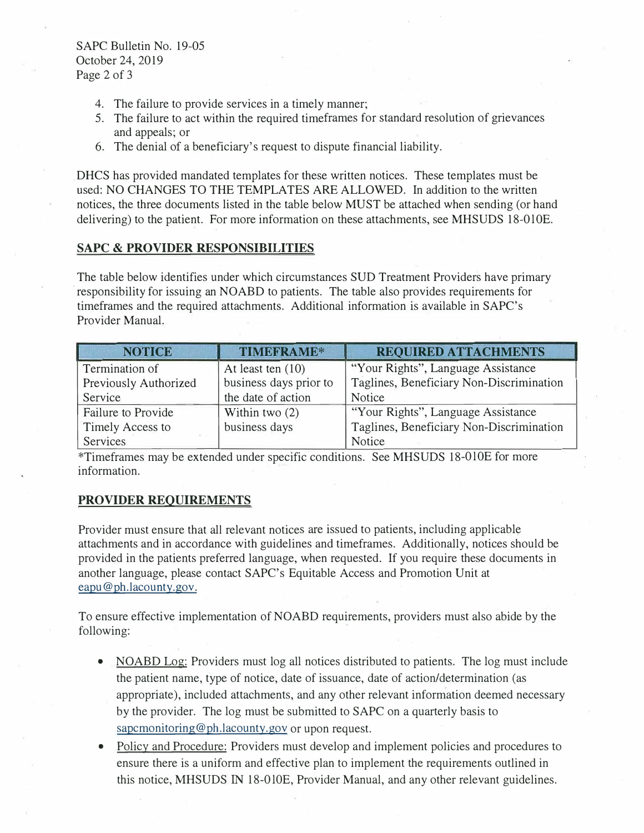SAPC Bulletin No. 19-05 October 24, 2019 Page 2 of 3

- 4. The failure to provide services in a timely manner;
- 5. The failure to act within the required timeframes for standard resolution of grievances and appeals; or
- 6. The denial of a beneficiary's request to dispute financial liability.

DHCS has provided mandated templates for these written notices. These templates must be used: NO CHANGES TO THE TEMPLATES ARE ALLOWED. In addition to the written notices, the three documents listed in the table below MUST be attached when sending (or hand delivering) to the patient. For more information on these attachments, see MHSUDS 18-010E.

#### **SAPC & PROVIDER RESPONSIBILITIES**

The table below identifies under which circumstances SUD Treatment Providers have primary responsibility for issuing an NOABD to patients. The table also provides requirements for timeframes and the required attachments. Additional information is available in SAPC's Provider Manual.

| <b>NOTICE</b>         | TIMEFRAME*             | <b>REQUIRED ATTACHMENTS</b>              |  |  |  |
|-----------------------|------------------------|------------------------------------------|--|--|--|
| Termination of        | At least ten (10)      | "Your Rights", Language Assistance       |  |  |  |
| Previously Authorized | business days prior to | Taglines, Beneficiary Non-Discrimination |  |  |  |
| Service               | the date of action     | Notice                                   |  |  |  |
| Failure to Provide    | Within two $(2)$       | "Your Rights", Language Assistance       |  |  |  |
| Timely Access to      | business days          | Taglines, Beneficiary Non-Discrimination |  |  |  |
| Services              |                        | Notice                                   |  |  |  |

\*Timeframes may be extended under specific conditions. See MHSUDS 18-0lOE for more information.

### **PROVIDER REQUIREMENTS**

Provider must ensure that all relevant notices are issued to patients, including applicable attachments and in accordance with guidelines and timeframes. Additionally, notices should be provided in the patients preferred language, when requested. If you require these documents in another language, please contact SAPC's Equitable Access and Promotion Unit at eapu@ph.lacounty.gov.

To ensure effective implementation of NOABD requirements, providers must also abide by the following:

- NOABD Log: Providers must log all notices distributed to patients. The log must include the patient name, type of notice, date of issuance, date of action/determination (as appropriate), included attachments, and any other relevant information deemed necessary by the provider. The log must be submitted to SAPC on a quarterly basis to sapcmonitoring@ph.lacounty.gov or upon request.
- • Policy and Procedure: Providers must develop and implement policies and procedures to ensure there is a uniform and effective plan to implement the requirements outlined in this notice, MHSUDS IN 18-0l0E, Provider Manual, and any other relevant guidelines.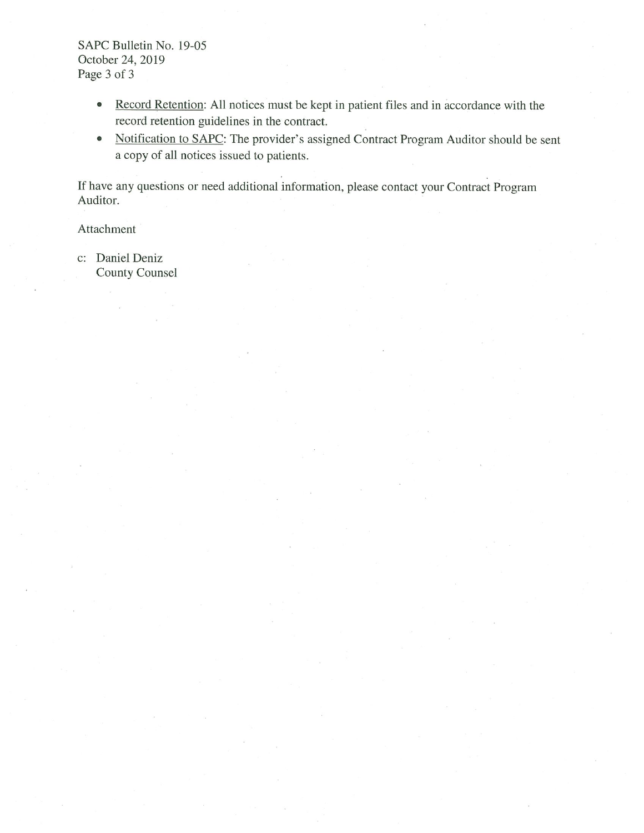SAPC Bulletin No. 19-05 October 24, 2019 Page 3 of 3

- Record Retention: All notices must be kept in patient files and in accordance with the record retention guidelines in the contract.
- Notification to SAPC: The provider's assigned Contract Program Auditor should be sent a copy of all notices issued to patients.

If have any questions or need additional information, please contact your Contract Program Auditor.

Attachment

c: Daniel Deniz **County Counsel**